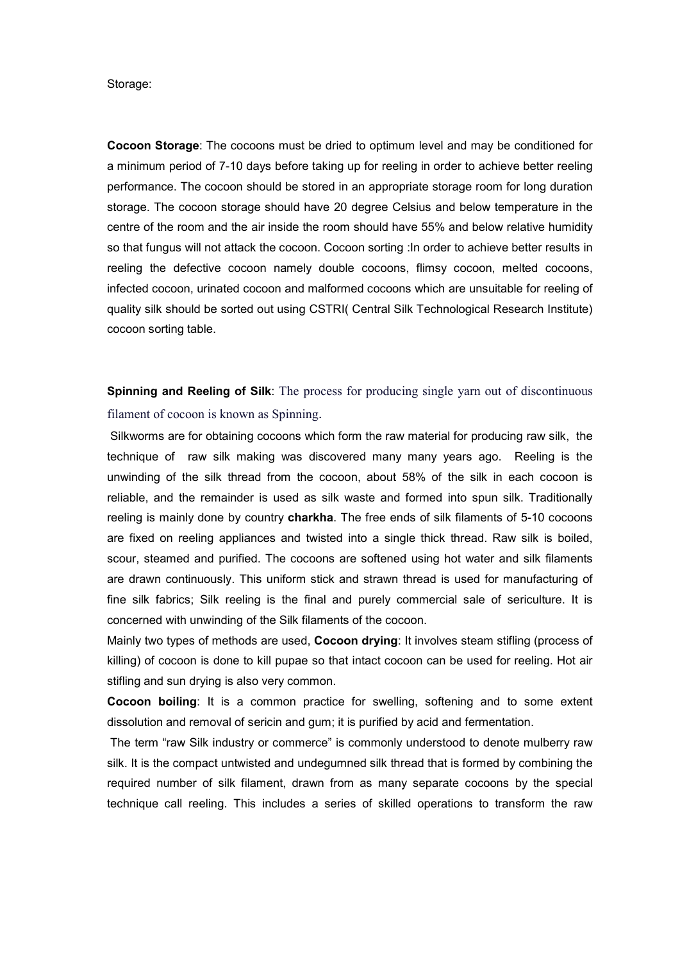Storage:

**Cocoon Storage**: The cocoons must be dried to optimum level and may be conditioned for a minimum period of 7-10 days before taking up for reeling in order to achieve better reeling performance. The cocoon should be stored in an appropriate storage room for long duration storage. The cocoon storage should have 20 degree Celsius and below temperature in the centre of the room and the air inside the room should have 55% and below relative humidity so that fungus will not attack the cocoon. Cocoon sorting :In order to achieve better results in reeling the defective cocoon namely double cocoons, flimsy cocoon, melted cocoons, infected cocoon, urinated cocoon and malformed cocoons which are unsuitable for reeling of quality silk should be sorted out using CSTRI( Central Silk Technological Research Institute) cocoon sorting table.

**Spinning and Reeling of Silk**: The process for producing single yarn out of discontinuous filament of cocoon is known as Spinning.

Silkworms are for obtaining cocoons which form the raw material for producing raw silk, the technique of raw silk making was discovered many many years ago. Reeling is the unwinding of the silk thread from the cocoon, about 58% of the silk in each cocoon is reliable, and the remainder is used as silk waste and formed into spun silk. Traditionally reeling is mainly done by country **charkha**. The free ends of silk filaments of 5-10 cocoons are fixed on reeling appliances and twisted into a single thick thread. Raw silk is boiled, scour, steamed and purified. The cocoons are softened using hot water and silk filaments are drawn continuously. This uniform stick and strawn thread is used for manufacturing of fine silk fabrics; Silk reeling is the final and purely commercial sale of sericulture. It is concerned with unwinding of the Silk filaments of the cocoon.

Mainly two types of methods are used, **Cocoon drying**: It involves steam stifling (process of killing) of cocoon is done to kill pupae so that intact cocoon can be used for reeling. Hot air stifling and sun drying is also very common.

**Cocoon boiling**: It is a common practice for swelling, softening and to some extent dissolution and removal of sericin and gum; it is purified by acid and fermentation.

The term "raw Silk industry or commerce" is commonly understood to denote mulberry raw silk. It is the compact untwisted and undegumned silk thread that is formed by combining the required number of silk filament, drawn from as many separate cocoons by the special technique call reeling. This includes a series of skilled operations to transform the raw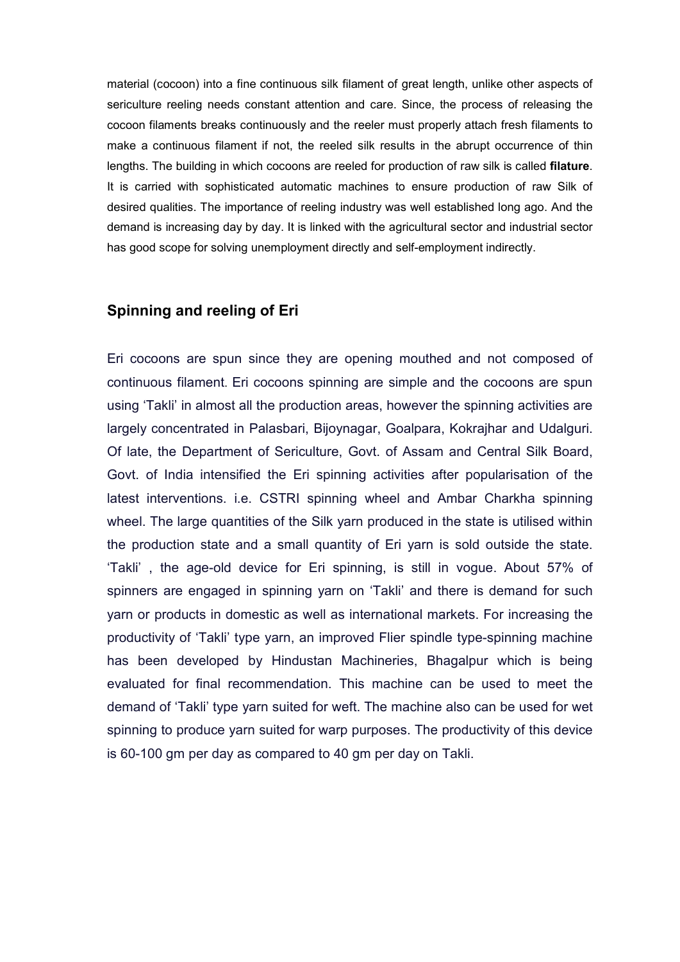material (cocoon) into a fine continuous silk filament of great length, unlike other aspects of sericulture reeling needs constant attention and care. Since, the process of releasing the cocoon filaments breaks continuously and the reeler must properly attach fresh filaments to make a continuous filament if not, the reeled silk results in the abrupt occurrence of thin lengths. The building in which cocoons are reeled for production of raw silk is called **filature**. It is carried with sophisticated automatic machines to ensure production of raw Silk of desired qualities. The importance of reeling industry was well established long ago. And the demand is increasing day by day. It is linked with the agricultural sector and industrial sector has good scope for solving unemployment directly and self-employment indirectly.

## **Spinning and reeling of Eri**

Eri cocoons are spun since they are opening mouthed and not composed of continuous filament. Eri cocoons spinning are simple and the cocoons are spun using 'Takli' in almost all the production areas, however the spinning activities are largely concentrated in Palasbari, Bijoynagar, Goalpara, Kokrajhar and Udalguri. Of late, the Department of Sericulture, Govt. of Assam and Central Silk Board, Govt. of India intensified the Eri spinning activities after popularisation of the latest interventions. i.e. CSTRI spinning wheel and Ambar Charkha spinning wheel. The large quantities of the Silk yarn produced in the state is utilised within the production state and a small quantity of Eri yarn is sold outside the state. 'Takli' , the age-old device for Eri spinning, is still in vogue. About 57% of spinners are engaged in spinning yarn on 'Takli' and there is demand for such yarn or products in domestic as well as international markets. For increasing the productivity of 'Takli' type yarn, an improved Flier spindle type-spinning machine has been developed by Hindustan Machineries, Bhagalpur which is being evaluated for final recommendation. This machine can be used to meet the demand of 'Takli' type yarn suited for weft. The machine also can be used for wet spinning to produce yarn suited for warp purposes. The productivity of this device is 60-100 gm per day as compared to 40 gm per day on Takli.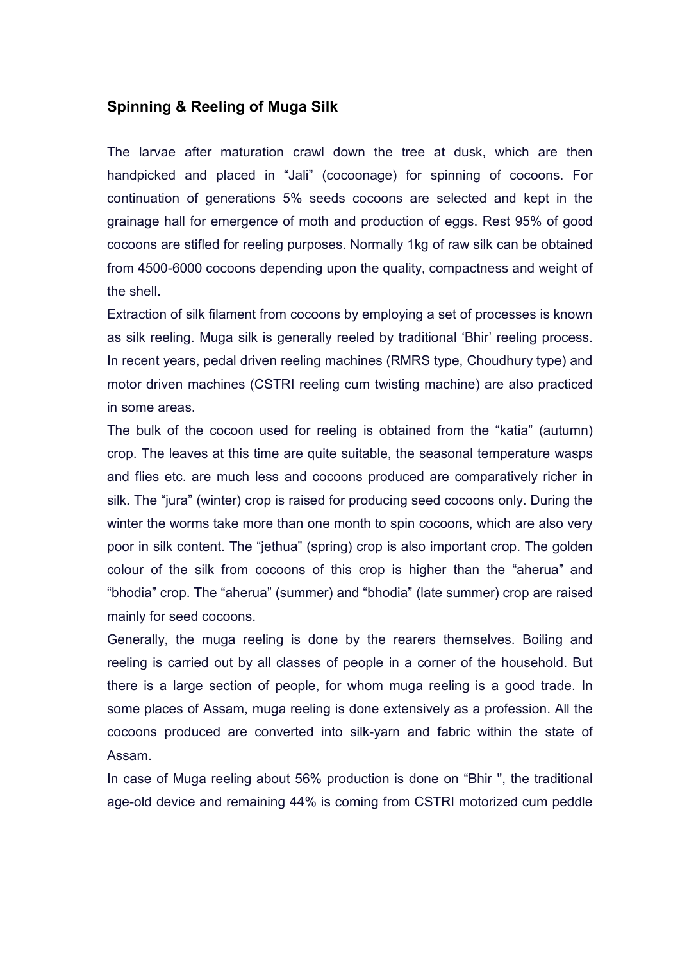## **Spinning & Reeling of Muga Silk**

The larvae after maturation crawl down the tree at dusk, which are then handpicked and placed in "Jali" (cocoonage) for spinning of cocoons. For continuation of generations 5% seeds cocoons are selected and kept in the grainage hall for emergence of moth and production of eggs. Rest 95% of good cocoons are stifled for reeling purposes. Normally 1kg of raw silk can be obtained from 4500-6000 cocoons depending upon the quality, compactness and weight of the shell.

Extraction of silk filament from cocoons by employing a set of processes is known as silk reeling. Muga silk is generally reeled by traditional 'Bhir' reeling process. In recent years, pedal driven reeling machines (RMRS type, Choudhury type) and motor driven machines (CSTRI reeling cum twisting machine) are also practiced in some areas.

The bulk of the cocoon used for reeling is obtained from the "katia" (autumn) crop. The leaves at this time are quite suitable, the seasonal temperature wasps and flies etc. are much less and cocoons produced are comparatively richer in silk. The "jura" (winter) crop is raised for producing seed cocoons only. During the winter the worms take more than one month to spin cocoons, which are also very poor in silk content. The "jethua" (spring) crop is also important crop. The golden colour of the silk from cocoons of this crop is higher than the "aherua" and "bhodia" crop. The "aherua" (summer) and "bhodia" (late summer) crop are raised mainly for seed cocoons.

Generally, the muga reeling is done by the rearers themselves. Boiling and reeling is carried out by all classes of people in a corner of the household. But there is a large section of people, for whom muga reeling is a good trade. In some places of Assam, muga reeling is done extensively as a profession. All the cocoons produced are converted into silk-yarn and fabric within the state of Assam.

In case of Muga reeling about 56% production is done on "Bhir '', the traditional age-old device and remaining 44% is coming from CSTRI motorized cum peddle